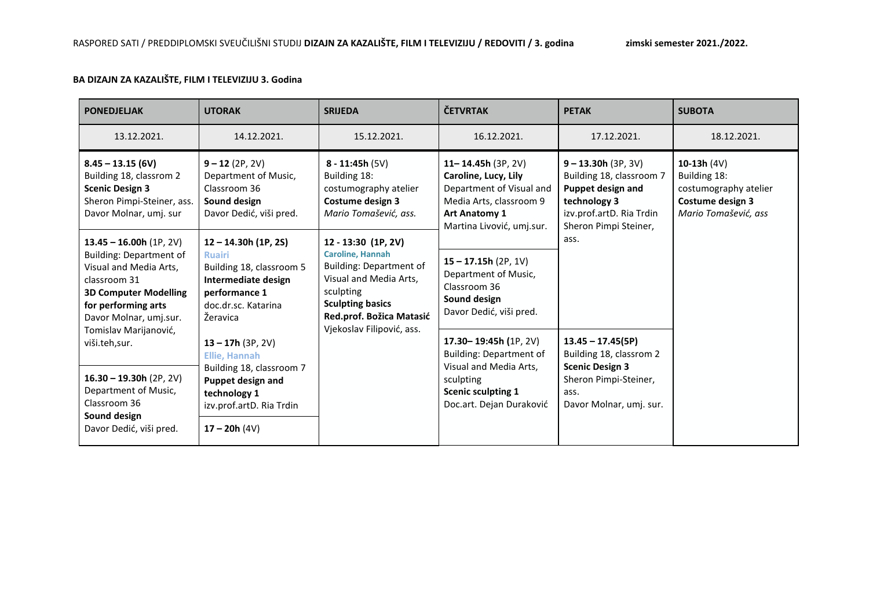## **BA DIZAJN ZA KAZALIŠTE, FILM I TELEVIZIJU 3. Godina**

| <b>PONEDJELJAK</b>                                                                                                                                                                    | <b>UTORAK</b>                                                                                                                                  | <b>SRIJEDA</b>                                                                                                                                                                                                                                                                                                         | <b>ČETVRTAK</b>                                                                                                                                          | <b>PETAK</b>                                                                                                                                | <b>SUBOTA</b>                                                                                      |
|---------------------------------------------------------------------------------------------------------------------------------------------------------------------------------------|------------------------------------------------------------------------------------------------------------------------------------------------|------------------------------------------------------------------------------------------------------------------------------------------------------------------------------------------------------------------------------------------------------------------------------------------------------------------------|----------------------------------------------------------------------------------------------------------------------------------------------------------|---------------------------------------------------------------------------------------------------------------------------------------------|----------------------------------------------------------------------------------------------------|
| 13.12.2021.                                                                                                                                                                           | 14.12.2021.                                                                                                                                    | 15.12.2021.                                                                                                                                                                                                                                                                                                            | 16.12.2021.                                                                                                                                              | 17.12.2021.                                                                                                                                 | 18.12.2021.                                                                                        |
| $8.45 - 13.15(6V)$<br>Building 18, classrom 2<br><b>Scenic Design 3</b><br>Sheron Pimpi-Steiner, ass.<br>Davor Molnar, umj. sur                                                       | $9 - 12(2P, 2V)$<br>Department of Music,<br>Classroom 36<br>Sound design<br>Davor Dedić, viši pred.                                            | $8 - 11:45h (5V)$<br>Building 18:<br>costumography atelier<br>Costume design 3<br>Mario Tomašević, ass.<br>12 - 13:30 (1P, 2V)<br><b>Caroline, Hannah</b><br><b>Building: Department of</b><br>Visual and Media Arts,<br>sculpting<br><b>Sculpting basics</b><br>Red.prof. Božica Matasić<br>Vjekoslav Filipović, ass. | 11-14.45h $(3P, 2V)$<br>Caroline, Lucy, Lily<br>Department of Visual and<br>Media Arts, classroom 9<br><b>Art Anatomy 1</b><br>Martina Livović, umj.sur. | $9 - 13.30h (3P, 3V)$<br>Building 18, classroom 7<br>Puppet design and<br>technology 3<br>izv.prof.artD. Ria Trdin<br>Sheron Pimpi Steiner, | 10-13h $(4V)$<br>Building 18:<br>costumography atelier<br>Costume design 3<br>Mario Tomašević, ass |
| $13.45 - 16.00h(1P, 2V)$<br><b>Building: Department of</b><br>Visual and Media Arts,<br>classroom 31<br><b>3D Computer Modelling</b><br>for performing arts<br>Davor Molnar, umj.sur. | $12 - 14.30h$ (1P, 2S)<br><b>Ruairi</b><br>Building 18, classroom 5<br>Intermediate design<br>performance 1<br>doc.dr.sc. Katarina<br>Žeravica |                                                                                                                                                                                                                                                                                                                        | $15 - 17.15h(2P, 1V)$<br>Department of Music,<br>Classroom 36<br>Sound design<br>Davor Dedić, viši pred.                                                 | ass.                                                                                                                                        |                                                                                                    |
| Tomislav Marijanović,<br>viši.teh,sur.<br>$16.30 - 19.30h$ (2P, 2V)<br>Department of Music,<br>Classroom 36<br>Sound design                                                           | $13 - 17h$ (3P, 2V)<br><b>Ellie, Hannah</b><br>Building 18, classroom 7<br>Puppet design and<br>technology 1<br>izv.prof.artD. Ria Trdin       |                                                                                                                                                                                                                                                                                                                        | 17.30-19:45h (1P, 2V)<br><b>Building: Department of</b><br>Visual and Media Arts,<br>sculpting<br><b>Scenic sculpting 1</b><br>Doc.art. Dejan Duraković  | $13.45 - 17.45(5P)$<br>Building 18, classrom 2<br><b>Scenic Design 3</b><br>Sheron Pimpi-Steiner,<br>ass.<br>Davor Molnar, umj. sur.        |                                                                                                    |
| Davor Dedić, viši pred.                                                                                                                                                               | $17 - 20h(4V)$                                                                                                                                 |                                                                                                                                                                                                                                                                                                                        |                                                                                                                                                          |                                                                                                                                             |                                                                                                    |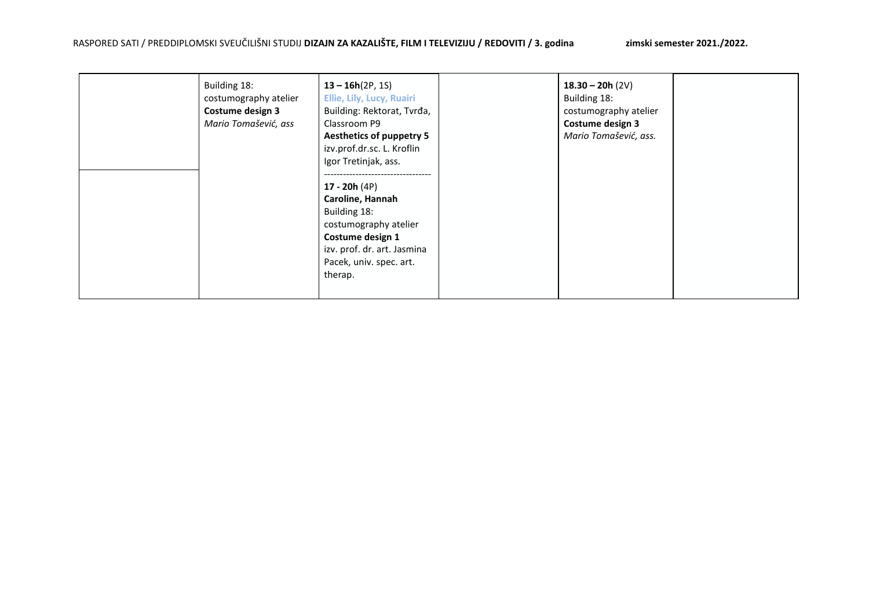| Building 18:<br>costumography atelier<br>Costume design 3<br>Mario Tomašević, ass | $13 - 16h(2P, 1S)$<br>Ellie, Lily, Lucy, Ruairi<br>Building: Rektorat, Tvrđa,<br>Classroom P9<br><b>Aesthetics of puppetry 5</b><br>izv.prof.dr.sc. L. Kroflin<br>Igor Tretinjak, ass.<br>17 - 20 $h(4P)$<br>Caroline, Hannah<br>Building 18:<br>costumography atelier<br>Costume design 1<br>izv. prof. dr. art. Jasmina<br>Pacek, univ. spec. art.<br>therap. | $18.30 - 20h (2V)$<br>Building 18:<br>costumography atelier<br>Costume design 3<br>Mario Tomašević, ass. |  |
|-----------------------------------------------------------------------------------|-----------------------------------------------------------------------------------------------------------------------------------------------------------------------------------------------------------------------------------------------------------------------------------------------------------------------------------------------------------------|----------------------------------------------------------------------------------------------------------|--|
|-----------------------------------------------------------------------------------|-----------------------------------------------------------------------------------------------------------------------------------------------------------------------------------------------------------------------------------------------------------------------------------------------------------------------------------------------------------------|----------------------------------------------------------------------------------------------------------|--|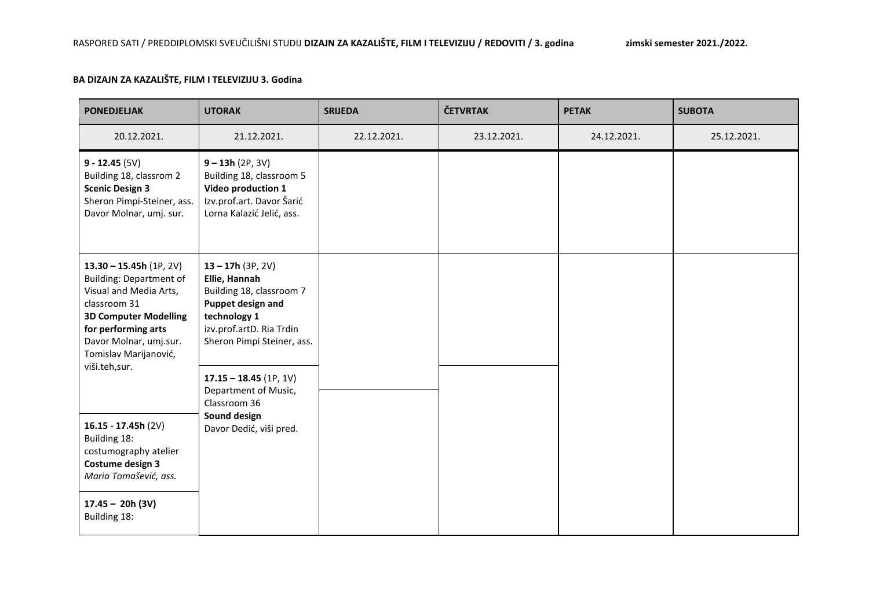## **BA DIZAJN ZA KAZALIŠTE, FILM I TELEVIZIJU 3. Godina**

| <b>PONEDJELJAK</b>                                                                                                                                                                                                              | <b>UTORAK</b>                                                                                                                                                   | <b>SRIJEDA</b> | <b>ČETVRTAK</b> | <b>PETAK</b> | <b>SUBOTA</b> |
|---------------------------------------------------------------------------------------------------------------------------------------------------------------------------------------------------------------------------------|-----------------------------------------------------------------------------------------------------------------------------------------------------------------|----------------|-----------------|--------------|---------------|
| 20.12.2021.                                                                                                                                                                                                                     | 21.12.2021.                                                                                                                                                     | 22.12.2021.    | 23.12.2021.     | 24.12.2021.  | 25.12.2021.   |
| $9 - 12.45(5V)$<br>Building 18, classrom 2<br><b>Scenic Design 3</b><br>Sheron Pimpi-Steiner, ass.<br>Davor Molnar, umj. sur.                                                                                                   | $9 - 13h (2P, 3V)$<br>Building 18, classroom 5<br>Video production 1<br>Izv.prof.art. Davor Šarić<br>Lorna Kalazić Jelić, ass.                                  |                |                 |              |               |
| $13.30 - 15.45h(1P, 2V)$<br><b>Building: Department of</b><br>Visual and Media Arts,<br>classroom 31<br><b>3D Computer Modelling</b><br>for performing arts<br>Davor Molnar, umj.sur.<br>Tomislav Marijanović,<br>viši.teh,sur. | $13 - 17h (3P, 2V)$<br>Ellie, Hannah<br>Building 18, classroom 7<br>Puppet design and<br>technology 1<br>izv.prof.artD. Ria Trdin<br>Sheron Pimpi Steiner, ass. |                |                 |              |               |
|                                                                                                                                                                                                                                 | $17.15 - 18.45$ (1P, 1V)<br>Department of Music,<br>Classroom 36<br>Sound design                                                                                |                |                 |              |               |
| 16.15 - 17.45h $(2V)$<br>Building 18:<br>costumography atelier<br>Costume design 3<br>Mario Tomašević, ass.                                                                                                                     | Davor Dedić, viši pred.                                                                                                                                         |                |                 |              |               |
| $17.45 - 20h (3V)$<br>Building 18:                                                                                                                                                                                              |                                                                                                                                                                 |                |                 |              |               |